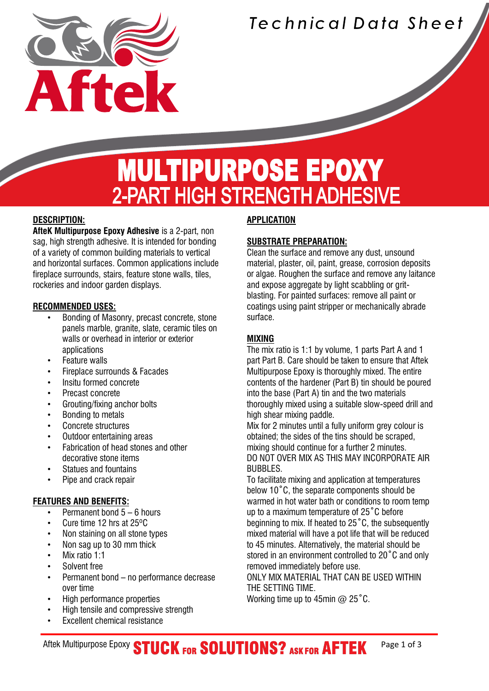

### Technical Data Sheet

## **MULTIPURPOSE EPOXY** 2-PART HIGH STRENGTH ADHESIVE

#### **DESCRIPTION:**

Í

**AfteK Multipurpose Epoxy Adhesive** is a 2-part, non sag, high strength adhesive. It is intended for bonding of a variety of common building materials to vertical and horizontal surfaces. Common applications include fireplace surrounds, stairs, feature stone walls, tiles, rockeries and indoor garden displays.

#### **RECOMMENDED USES:**

- Bonding of Masonry, precast concrete, stone panels marble, granite, slate, ceramic tiles on walls or overhead in interior or exterior applications
- **Feature walls**
- Fireplace surrounds & Facades
- Insitu formed concrete
- Precast concrete
- Grouting/fixing anchor bolts
- Bonding to metals
- Concrete structures
- Outdoor entertaining areas
- Fabrication of head stones and other decorative stone items
- Statues and fountains
- Pipe and crack repair

#### **FEATURES AND BENEFITS:**

- Permanent bond 5 6 hours
- Cure time 12 hrs at 25ºC
- Non staining on all stone types
- Non sag up to 30 mm thick
- Mix ratio 1:1
- Solvent free
- Permanent bond no performance decrease over time
- High performance properties
- High tensile and compressive strength
- **Excellent chemical resistance**

#### **APPLICATION**

#### **SUBSTRATE PREPARATION:**

Clean the surface and remove any dust, unsound material, plaster, oil, paint, grease, corrosion deposits or algae. Roughen the surface and remove any laitance and expose aggregate by light scabbling or gritblasting. For painted surfaces: remove all paint or coatings using paint stripper or mechanically abrade surface.

#### **MIXING**

The mix ratio is 1:1 by volume, 1 parts Part A and 1 part Part B. Care should be taken to ensure that Aftek Multipurpose Epoxy is thoroughly mixed. The entire contents of the hardener (Part B) tin should be poured into the base (Part A) tin and the two materials thoroughly mixed using a suitable slow-speed drill and high shear mixing paddle.

Mix for 2 minutes until a fully uniform grey colour is obtained; the sides of the tins should be scraped, mixing should continue for a further 2 minutes. DO NOT OVER MIX AS THIS MAY INCORPORATE AIR BUBBLES.

To facilitate mixing and application at temperatures below 10˚C, the separate components should be warmed in hot water bath or conditions to room temp up to a maximum temperature of 25˚C before beginning to mix. If heated to 25˚C, the subsequently mixed material will have a pot life that will be reduced to 45 minutes. Alternatively, the material should be stored in an environment controlled to 20˚C and only removed immediately before use.

ONLY MIX MATERIAL THAT CAN BE USED WITHIN THE SETTING TIME.

Working time up to 45min @ 25°C.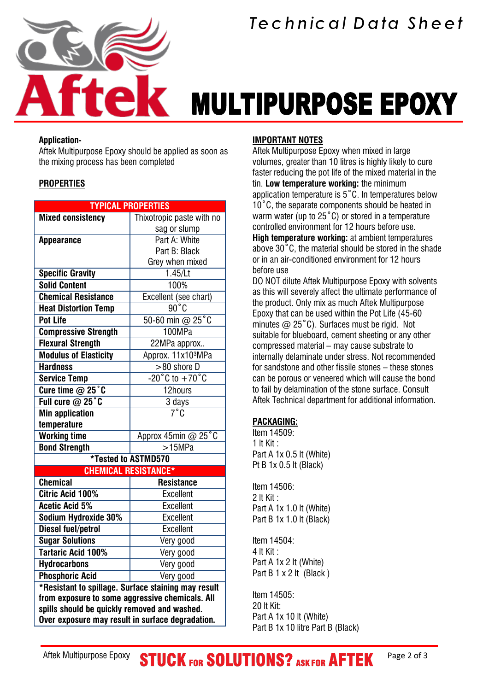

# **MULTIPURPOSE EPOXY**

#### **Application-**

Aftek Multipurpose Epoxy should be applied as soon as the mixing process has been completed

#### **PROPERTIES**

| <b>TYPICAL PROPERTIES</b>                           |                                    |  |
|-----------------------------------------------------|------------------------------------|--|
| <b>Mixed consistency</b>                            | Thixotropic paste with no          |  |
|                                                     | sag or slump                       |  |
| <b>Appearance</b>                                   | Part A: White                      |  |
|                                                     | Part B: Black                      |  |
|                                                     | Grey when mixed                    |  |
| <b>Specific Gravity</b>                             | 1.45/Lt                            |  |
| <b>Solid Content</b>                                | 100%                               |  |
| <b>Chemical Resistance</b>                          | Excellent (see chart)              |  |
| <b>Heat Distortion Temp</b>                         | $\overline{90°}$ C                 |  |
| <b>Pot Life</b>                                     | 50-60 min @ 25°C                   |  |
| <b>Compressive Strength</b>                         | 100MPa                             |  |
| <b>Flexural Strength</b>                            | 22MPa approx                       |  |
| <b>Modulus of Elasticity</b>                        | Approx. 11x103MPa                  |  |
| <b>Hardness</b>                                     | >80 shore D                        |  |
| <b>Service Temp</b>                                 | $-20^{\circ}$ C to $+70^{\circ}$ C |  |
| Cure time $@$ 25 $°C$                               | 12hours                            |  |
| Full cure $@$ 25 $°$ C                              | 3 days                             |  |
| <b>Min application</b>                              | $\overline{7^{\circ}C}$            |  |
| temperature                                         |                                    |  |
| <b>Working time</b>                                 | Approx 45min @ 25°C                |  |
| <b>Bond Strength</b>                                | >15MPa                             |  |
|                                                     | <b>*Tested to ASTMD570</b>         |  |
| <b>CHEMICAL RESISTANCE*</b>                         |                                    |  |
| <b>Chemical</b>                                     | <b>Resistance</b>                  |  |
| <b>Citric Acid 100%</b>                             | <b>Excellent</b>                   |  |
| <b>Acetic Acid 5%</b>                               | <b>Excellent</b>                   |  |
| Sodium Hydroxide 30%                                | <b>Excellent</b>                   |  |
| <b>Diesel fuel/petrol</b>                           | <b>Excellent</b>                   |  |
| <b>Sugar Solutions</b>                              | Very good                          |  |
| <b>Tartaric Acid 100%</b>                           | Very good                          |  |
| <b>Hydrocarbons</b>                                 | Very good                          |  |
| <b>Phosphoric Acid</b>                              | Very good                          |  |
| *Resistant to spillage. Surface staining may result |                                    |  |
| from exposure to some aggressive chemicals. All     |                                    |  |
| spills should be quickly removed and washed.        |                                    |  |
| Over exposure may result in surface degradation.    |                                    |  |

#### **IMPORTANT NOTES**

Aftek Multipurpose Epoxy when mixed in large volumes, greater than 10 litres is highly likely to cure faster reducing the pot life of the mixed material in the tin. **Low temperature working:** the minimum application temperature is 5˚C. In temperatures below 10˚C, the separate components should be heated in warm water (up to 25˚C) or stored in a temperature controlled environment for 12 hours before use. **High temperature working:** at ambient temperatures above 30˚C, the material should be stored in the shade or in an air-conditioned environment for 12 hours before use

DO NOT dilute Aftek Multipurpose Epoxy with solvents as this will severely affect the ultimate performance of the product. Only mix as much Aftek Multipurpose Epoxy that can be used within the Pot Life (45-60 minutes  $\omega$  25°C). Surfaces must be rigid. Not suitable for blueboard, cement sheeting or any other compressed material – may cause substrate to internally delaminate under stress. Not recommended for sandstone and other fissile stones – these stones can be porous or veneered which will cause the bond to fail by delamination of the stone surface. Consult Aftek Technical department for additional information.

#### **PACKAGING:**

Item 14509: 1 lt Kit : Part A 1x 0.5 lt (White) Pt B 1x 0.5 lt (Black)

Item 14506: 2 lt Kit : Part A 1x 1.0 lt (White) Part B 1x 1.0 lt (Black)

Item 14504: 4 lt Kit : Part A 1x 2 lt (White) Part  $B$  1 x 2 lt (Black)

Item 14505: 20 lt Kit: Part A 1x 10 lt (White) Part B 1x 10 litre Part B (Black)

Aftek Multipurpose Epoxy **STUCK FOR SOLUTIONS?** ASK FOR AFTEK Page 2 of 3